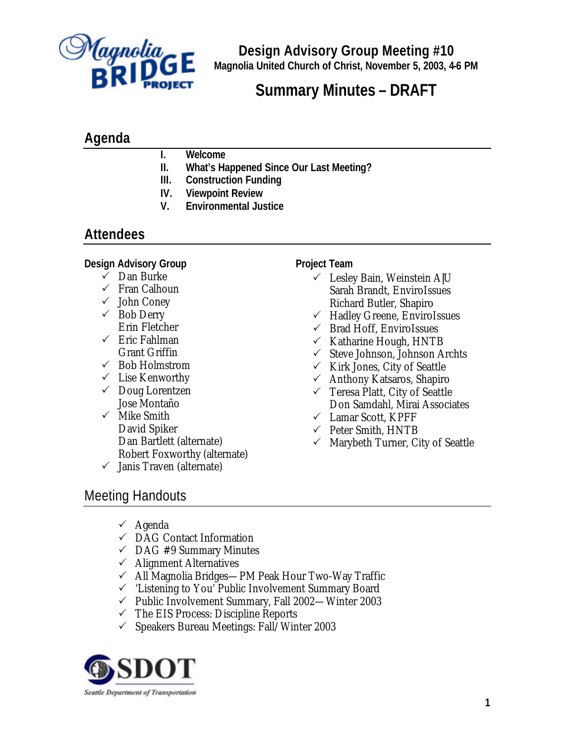

**Design Advisory Group Meeting #10 Magnolia United Church of Christ, November 5, 2003, 4-6 PM**

# **Summary Minutes – DRAFT**

# **Agenda**

- **I. Welcome**
- **II. What's Happened Since Our Last Meeting?**
- **III. Construction Funding**
- **IV. Viewpoint Review**
- **V. Environmental Justice**

## **Attendees**

#### **Design Advisory Group**

- $\checkmark$  Dan Burke
- $\checkmark$  Fran Calhoun
- $\checkmark$  John Coney
- $\checkmark$  Bob Derry Erin Fletcher
- $\checkmark$  Eric Fahlman Grant Griffin
- $\checkmark$  Bob Holmstrom
- $\checkmark$  Lise Kenworthy
- $\checkmark$  Doug Lorentzen Jose Montaño
- $\checkmark$  Mike Smith David Spiker Dan Bartlett (alternate) Robert Foxworthy (alternate)
- $\checkmark$  Janis Traven (alternate)

#### **Project Team**

- $\checkmark$  Lesley Bain, Weinstein A|U Sarah Brandt, EnviroIssues Richard Butler, Shapiro
- $\checkmark$  Hadley Greene, EnviroIssues
- $\checkmark$  Brad Hoff, EnviroIssues
- $\checkmark$  Katharine Hough, HNTB
- $\checkmark$  Steve Johnson, Johnson Archts
- $\checkmark$  Kirk Jones, City of Seattle
- $\checkmark$  Anthony Katsaros, Shapiro
- $\checkmark$  Teresa Platt, City of Seattle Don Samdahl, Mirai Associates
- $\checkmark$  Lamar Scott, KPFF
- $\checkmark$  Peter Smith, HNTB
- $\checkmark$  Marybeth Turner, City of Seattle

# Meeting Handouts

- $\checkmark$  Agenda
- $\checkmark$  DAG Contact Information
- $\checkmark$  DAG #9 Summary Minutes
- $\checkmark$  Alignment Alternatives
- $\checkmark$  All Magnolia Bridges—PM Peak Hour Two-Way Traffic
- $\checkmark$  'Listening to You' Public Involvement Summary Board
- $\checkmark$  Public Involvement Summary, Fall 2002—Winter 2003
- $\checkmark$  The EIS Process: Discipline Reports
- $\checkmark$  Speakers Bureau Meetings: Fall/Winter 2003

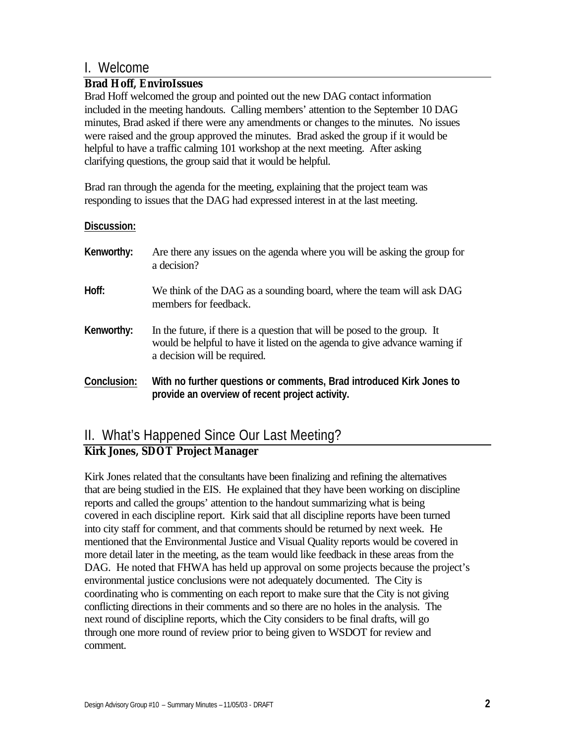### I. Welcome

### *Brad Hoff, EnviroIssues*

Brad Hoff welcomed the group and pointed out the new DAG contact information included in the meeting handouts. Calling members' attention to the September 10 DAG minutes, Brad asked if there were any amendments or changes to the minutes. No issues were raised and the group approved the minutes. Brad asked the group if it would be helpful to have a traffic calming 101 workshop at the next meeting. After asking clarifying questions, the group said that it would be helpful.

Brad ran through the agenda for the meeting, explaining that the project team was responding to issues that the DAG had expressed interest in at the last meeting.

#### **Discussion:**

| Kenworthy:  | Are there any issues on the agenda where you will be asking the group for<br>a decision?                                                                                                 |
|-------------|------------------------------------------------------------------------------------------------------------------------------------------------------------------------------------------|
| Hoff:       | We think of the DAG as a sounding board, where the team will ask DAG<br>members for feedback.                                                                                            |
| Kenworthy:  | In the future, if there is a question that will be posed to the group. It<br>would be helpful to have it listed on the agenda to give advance warning if<br>a decision will be required. |
| Conclusion: | With no further questions or comments, Brad introduced Kirk Jones to<br>provide an overview of recent project activity.                                                                  |

### II. What's Happened Since Our Last Meeting? *Kirk Jones, SDOT Project Manager*

Kirk Jones related that the consultants have been finalizing and refining the alternatives that are being studied in the EIS. He explained that they have been working on discipline reports and called the groups' attention to the handout summarizing what is being covered in each discipline report. Kirk said that all discipline reports have been turned into city staff for comment, and that comments should be returned by next week. He mentioned that the Environmental Justice and Visual Quality reports would be covered in more detail later in the meeting, as the team would like feedback in these areas from the DAG. He noted that FHWA has held up approval on some projects because the project's environmental justice conclusions were not adequately documented. The City is coordinating who is commenting on each report to make sure that the City is not giving conflicting directions in their comments and so there are no holes in the analysis. The next round of discipline reports, which the City considers to be final drafts, will go through one more round of review prior to being given to WSDOT for review and comment.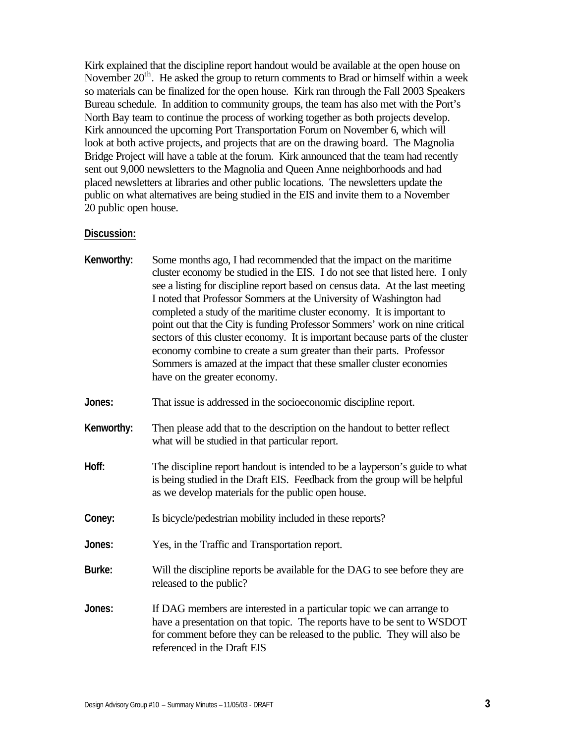Kirk explained that the discipline report handout would be available at the open house on November  $20<sup>th</sup>$ . He asked the group to return comments to Brad or himself within a week so materials can be finalized for the open house. Kirk ran through the Fall 2003 Speakers Bureau schedule. In addition to community groups, the team has also met with the Port's North Bay team to continue the process of working together as both projects develop. Kirk announced the upcoming Port Transportation Forum on November 6, which will look at both active projects, and projects that are on the drawing board. The Magnolia Bridge Project will have a table at the forum. Kirk announced that the team had recently sent out 9,000 newsletters to the Magnolia and Queen Anne neighborhoods and had placed newsletters at libraries and other public locations. The newsletters update the public on what alternatives are being studied in the EIS and invite them to a November 20 public open house.

#### **Discussion:**

| Kenworthy: | Some months ago, I had recommended that the impact on the maritime<br>cluster economy be studied in the EIS. I do not see that listed here. I only<br>see a listing for discipline report based on census data. At the last meeting<br>I noted that Professor Sommers at the University of Washington had<br>completed a study of the maritime cluster economy. It is important to<br>point out that the City is funding Professor Sommers' work on nine critical<br>sectors of this cluster economy. It is important because parts of the cluster<br>economy combine to create a sum greater than their parts. Professor<br>Sommers is amazed at the impact that these smaller cluster economies<br>have on the greater economy. |
|------------|-----------------------------------------------------------------------------------------------------------------------------------------------------------------------------------------------------------------------------------------------------------------------------------------------------------------------------------------------------------------------------------------------------------------------------------------------------------------------------------------------------------------------------------------------------------------------------------------------------------------------------------------------------------------------------------------------------------------------------------|
| Jones:     | That issue is addressed in the socioeconomic discipline report.                                                                                                                                                                                                                                                                                                                                                                                                                                                                                                                                                                                                                                                                   |
| Kenworthy: | Then please add that to the description on the handout to better reflect<br>what will be studied in that particular report.                                                                                                                                                                                                                                                                                                                                                                                                                                                                                                                                                                                                       |
| Hoff:      | The discipline report handout is intended to be a layperson's guide to what<br>is being studied in the Draft EIS. Feedback from the group will be helpful<br>as we develop materials for the public open house.                                                                                                                                                                                                                                                                                                                                                                                                                                                                                                                   |
| Coney:     | Is bicycle/pedestrian mobility included in these reports?                                                                                                                                                                                                                                                                                                                                                                                                                                                                                                                                                                                                                                                                         |
| Jones:     | Yes, in the Traffic and Transportation report.                                                                                                                                                                                                                                                                                                                                                                                                                                                                                                                                                                                                                                                                                    |
| Burke:     | Will the discipline reports be available for the DAG to see before they are<br>released to the public?                                                                                                                                                                                                                                                                                                                                                                                                                                                                                                                                                                                                                            |
| Jones:     | If DAG members are interested in a particular topic we can arrange to<br>have a presentation on that topic. The reports have to be sent to WSDOT<br>for comment before they can be released to the public. They will also be<br>referenced in the Draft EIS                                                                                                                                                                                                                                                                                                                                                                                                                                                                       |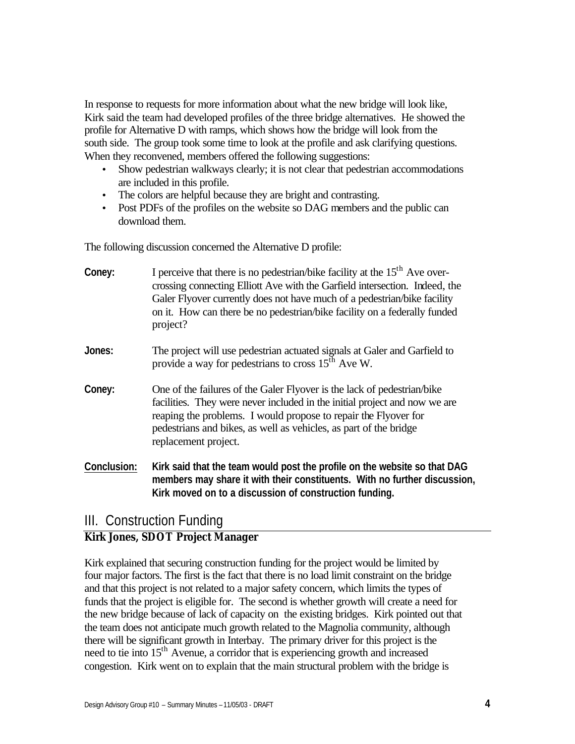In response to requests for more information about what the new bridge will look like, Kirk said the team had developed profiles of the three bridge alternatives. He showed the profile for Alternative D with ramps, which shows how the bridge will look from the south side. The group took some time to look at the profile and ask clarifying questions. When they reconvened, members offered the following suggestions:

- Show pedestrian walkways clearly; it is not clear that pedestrian accommodations are included in this profile.
- The colors are helpful because they are bright and contrasting.
- Post PDFs of the profiles on the website so DAG members and the public can download them.

The following discussion concerned the Alternative D profile:

| Coney:      | I perceive that there is no pedestrian/bike facility at the $15th$ Ave over-<br>crossing connecting Elliott Ave with the Garfield intersection. Indeed, the<br>Galer Flyover currently does not have much of a pedestrian/bike facility<br>on it. How can there be no pedestrian/bike facility on a federally funded<br>project? |
|-------------|----------------------------------------------------------------------------------------------------------------------------------------------------------------------------------------------------------------------------------------------------------------------------------------------------------------------------------|
| Jones:      | The project will use pedestrian actuated signals at Galer and Garfield to<br>provide a way for pedestrians to cross $15th$ Ave W.                                                                                                                                                                                                |
| Coney:      | One of the failures of the Galer Flyover is the lack of pedestrian/bike<br>facilities. They were never included in the initial project and now we are<br>reaping the problems. I would propose to repair the Flyover for<br>pedestrians and bikes, as well as vehicles, as part of the bridge<br>replacement project.            |
| Conclusion: | Kirk said that the team would post the profile on the website so that DAG<br>members may share it with their constituents. With no further discussion,<br>Kirk moved on to a discussion of construction funding.                                                                                                                 |

# III. Construction Funding

### *Kirk Jones, SDOT Project Manager*

Kirk explained that securing construction funding for the project would be limited by four major factors. The first is the fact that there is no load limit constraint on the bridge and that this project is not related to a major safety concern, which limits the types of funds that the project is eligible for. The second is whether growth will create a need for the new bridge because of lack of capacity on the existing bridges. Kirk pointed out that the team does not anticipate much growth related to the Magnolia community, although there will be significant growth in Interbay. The primary driver for this project is the need to tie into 15<sup>th</sup> Avenue, a corridor that is experiencing growth and increased congestion. Kirk went on to explain that the main structural problem with the bridge is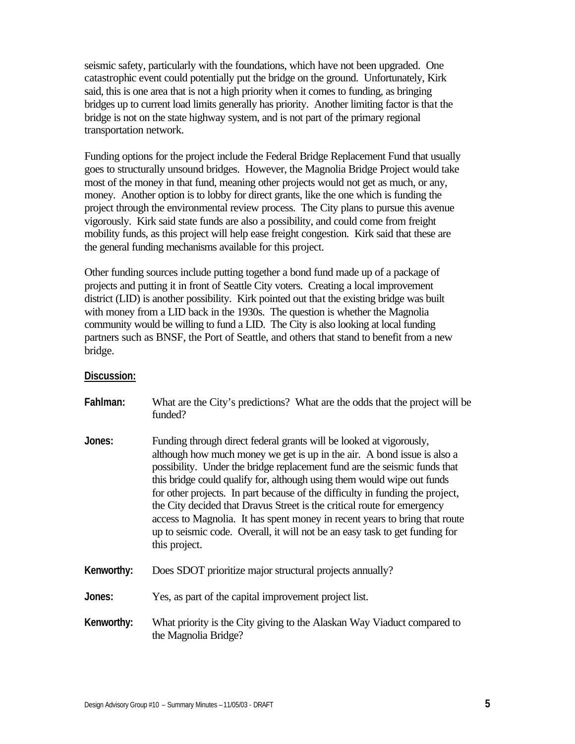seismic safety, particularly with the foundations, which have not been upgraded. One catastrophic event could potentially put the bridge on the ground. Unfortunately, Kirk said, this is one area that is not a high priority when it comes to funding, as bringing bridges up to current load limits generally has priority. Another limiting factor is that the bridge is not on the state highway system, and is not part of the primary regional transportation network.

Funding options for the project include the Federal Bridge Replacement Fund that usually goes to structurally unsound bridges. However, the Magnolia Bridge Project would take most of the money in that fund, meaning other projects would not get as much, or any, money. Another option is to lobby for direct grants, like the one which is funding the project through the environmental review process. The City plans to pursue this avenue vigorously. Kirk said state funds are also a possibility, and could come from freight mobility funds, as this project will help ease freight congestion. Kirk said that these are the general funding mechanisms available for this project.

Other funding sources include putting together a bond fund made up of a package of projects and putting it in front of Seattle City voters. Creating a local improvement district (LID) is another possibility. Kirk pointed out that the existing bridge was built with money from a LID back in the 1930s. The question is whether the Magnolia community would be willing to fund a LID. The City is also looking at local funding partners such as BNSF, the Port of Seattle, and others that stand to benefit from a new bridge.

#### **Discussion:**

| Fahlman:   | What are the City's predictions? What are the odds that the project will be<br>funded?                                                                                                                                                                                                                                                                                                                                                                                                                                                                                                                                                           |
|------------|--------------------------------------------------------------------------------------------------------------------------------------------------------------------------------------------------------------------------------------------------------------------------------------------------------------------------------------------------------------------------------------------------------------------------------------------------------------------------------------------------------------------------------------------------------------------------------------------------------------------------------------------------|
| Jones:     | Funding through direct federal grants will be looked at vigorously,<br>although how much money we get is up in the air. A bond issue is also a<br>possibility. Under the bridge replacement fund are the seismic funds that<br>this bridge could qualify for, although using them would wipe out funds<br>for other projects. In part because of the difficulty in funding the project,<br>the City decided that Dravus Street is the critical route for emergency<br>access to Magnolia. It has spent money in recent years to bring that route<br>up to seismic code. Overall, it will not be an easy task to get funding for<br>this project. |
| Kenworthy: | Does SDOT prioritize major structural projects annually?                                                                                                                                                                                                                                                                                                                                                                                                                                                                                                                                                                                         |
| Jones:     | Yes, as part of the capital improvement project list.                                                                                                                                                                                                                                                                                                                                                                                                                                                                                                                                                                                            |
| Kenworthy: | What priority is the City giving to the Alaskan Way Viaduct compared to<br>the Magnolia Bridge?                                                                                                                                                                                                                                                                                                                                                                                                                                                                                                                                                  |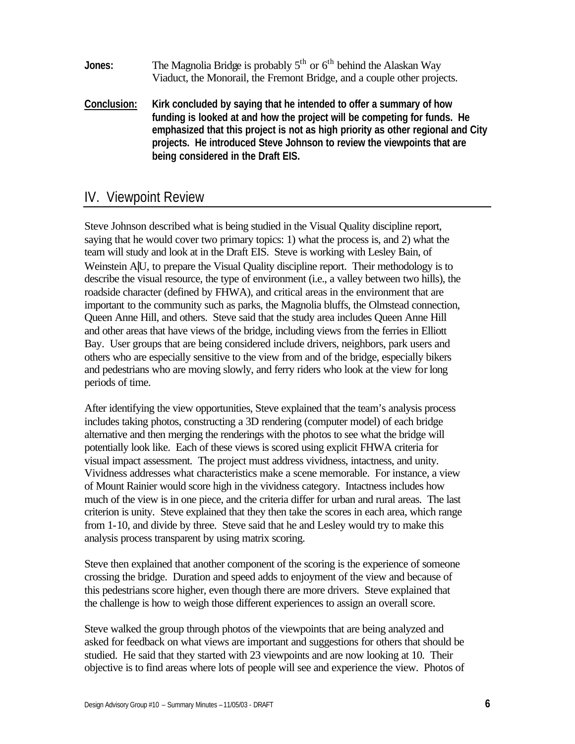- **Jones:** The Magnolia Bridge is probably  $5<sup>th</sup>$  or  $6<sup>th</sup>$  behind the Alaskan Way Viaduct, the Monorail, the Fremont Bridge, and a couple other projects.
- **Conclusion: Kirk concluded by saying that he intended to offer a summary of how funding is looked at and how the project will be competing for funds. He emphasized that this project is not as high priority as other regional and City projects. He introduced Steve Johnson to review the viewpoints that are being considered in the Draft EIS.**

### IV. Viewpoint Review

Steve Johnson described what is being studied in the Visual Quality discipline report, saying that he would cover two primary topics: 1) what the process is, and 2) what the team will study and look at in the Draft EIS. Steve is working with Lesley Bain, of Weinstein A|U, to prepare the Visual Quality discipline report. Their methodology is to describe the visual resource, the type of environment (i.e., a valley between two hills), the roadside character (defined by FHWA), and critical areas in the environment that are important to the community such as parks, the Magnolia bluffs, the Olmstead connection, Queen Anne Hill, and others. Steve said that the study area includes Queen Anne Hill and other areas that have views of the bridge, including views from the ferries in Elliott Bay. User groups that are being considered include drivers, neighbors, park users and others who are especially sensitive to the view from and of the bridge, especially bikers and pedestrians who are moving slowly, and ferry riders who look at the view for long periods of time.

After identifying the view opportunities, Steve explained that the team's analysis process includes taking photos, constructing a 3D rendering (computer model) of each bridge alternative and then merging the renderings with the photos to see what the bridge will potentially look like. Each of these views is scored using explicit FHWA criteria for visual impact assessment. The project must address vividness, intactness, and unity. Vividness addresses what characteristics make a scene memorable. For instance, a view of Mount Rainier would score high in the vividness category. Intactness includes how much of the view is in one piece, and the criteria differ for urban and rural areas. The last criterion is unity. Steve explained that they then take the scores in each area, which range from 1-10, and divide by three. Steve said that he and Lesley would try to make this analysis process transparent by using matrix scoring.

Steve then explained that another component of the scoring is the experience of someone crossing the bridge. Duration and speed adds to enjoyment of the view and because of this pedestrians score higher, even though there are more drivers. Steve explained that the challenge is how to weigh those different experiences to assign an overall score.

Steve walked the group through photos of the viewpoints that are being analyzed and asked for feedback on what views are important and suggestions for others that should be studied. He said that they started with 23 viewpoints and are now looking at 10. Their objective is to find areas where lots of people will see and experience the view. Photos of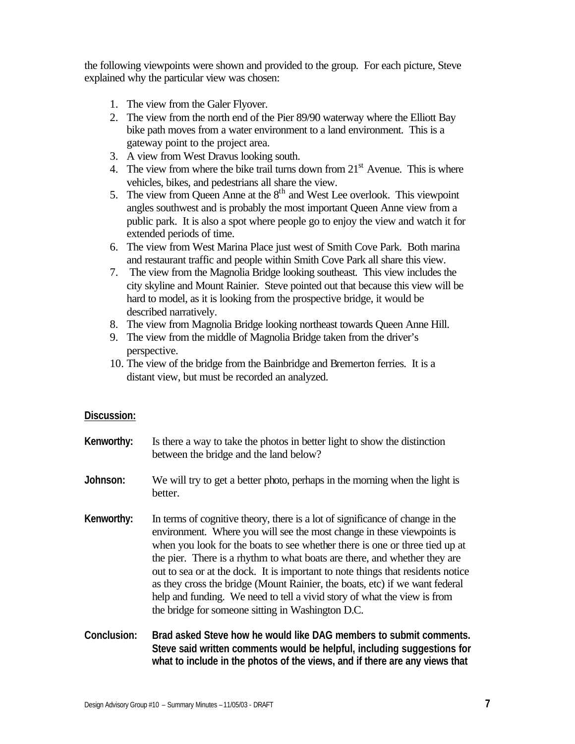the following viewpoints were shown and provided to the group. For each picture, Steve explained why the particular view was chosen:

- 1. The view from the Galer Flyover.
- 2. The view from the north end of the Pier 89/90 waterway where the Elliott Bay bike path moves from a water environment to a land environment. This is a gateway point to the project area.
- 3. A view from West Dravus looking south.
- 4. The view from where the bike trail turns down from  $21<sup>st</sup>$  Avenue. This is where vehicles, bikes, and pedestrians all share the view.
- 5. The view from Queen Anne at the  $8<sup>th</sup>$  and West Lee overlook. This viewpoint angles southwest and is probably the most important Queen Anne view from a public park. It is also a spot where people go to enjoy the view and watch it for extended periods of time.
- 6. The view from West Marina Place just west of Smith Cove Park. Both marina and restaurant traffic and people within Smith Cove Park all share this view.
- 7. The view from the Magnolia Bridge looking southeast. This view includes the city skyline and Mount Rainier. Steve pointed out that because this view will be hard to model, as it is looking from the prospective bridge, it would be described narratively.
- 8. The view from Magnolia Bridge looking northeast towards Queen Anne Hill.
- 9. The view from the middle of Magnolia Bridge taken from the driver's perspective.
- 10. The view of the bridge from the Bainbridge and Bremerton ferries. It is a distant view, but must be recorded an analyzed.

#### **Discussion:**

- **Kenworthy:** Is there a way to take the photos in better light to show the distinction between the bridge and the land below?
- **Johnson:** We will try to get a better photo, perhaps in the morning when the light is better.
- **Kenworthy:** In terms of cognitive theory, there is a lot of significance of change in the environment. Where you will see the most change in these viewpoints is when you look for the boats to see whether there is one or three tied up at the pier. There is a rhythm to what boats are there, and whether they are out to sea or at the dock. It is important to note things that residents notice as they cross the bridge (Mount Rainier, the boats, etc) if we want federal help and funding. We need to tell a vivid story of what the view is from the bridge for someone sitting in Washington D.C.
- **Conclusion: Brad asked Steve how he would like DAG members to submit comments. Steve said written comments would be helpful, including suggestions for what to include in the photos of the views, and if there are any views that**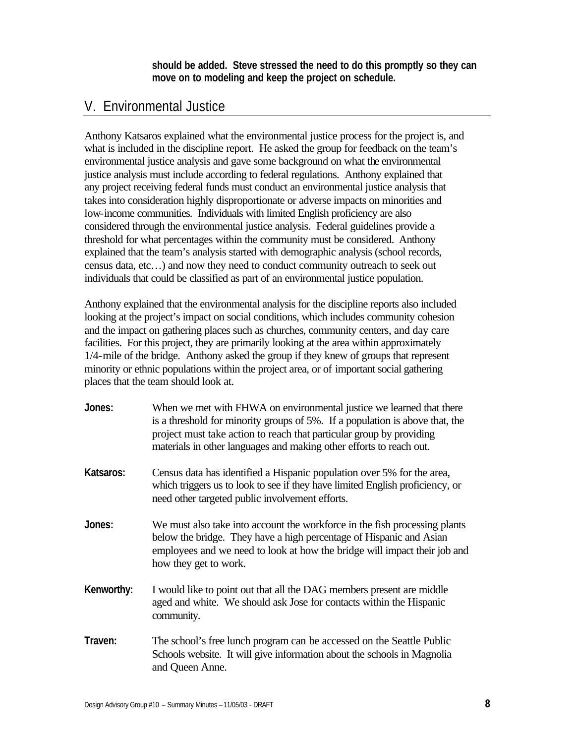**should be added. Steve stressed the need to do this promptly so they can move on to modeling and keep the project on schedule.**

# V. Environmental Justice

Anthony Katsaros explained what the environmental justice process for the project is, and what is included in the discipline report. He asked the group for feedback on the team's environmental justice analysis and gave some background on what the environmental justice analysis must include according to federal regulations. Anthony explained that any project receiving federal funds must conduct an environmental justice analysis that takes into consideration highly disproportionate or adverse impacts on minorities and low-income communities. Individuals with limited English proficiency are also considered through the environmental justice analysis. Federal guidelines provide a threshold for what percentages within the community must be considered. Anthony explained that the team's analysis started with demographic analysis (school records, census data, etc…) and now they need to conduct community outreach to seek out individuals that could be classified as part of an environmental justice population.

Anthony explained that the environmental analysis for the discipline reports also included looking at the project's impact on social conditions, which includes community cohesion and the impact on gathering places such as churches, community centers, and day care facilities. For this project, they are primarily looking at the area within approximately 1/4-mile of the bridge. Anthony asked the group if they knew of groups that represent minority or ethnic populations within the project area, or of important social gathering places that the team should look at.

- **Jones:** When we met with FHWA on environmental justice we learned that there is a threshold for minority groups of 5%. If a population is above that, the project must take action to reach that particular group by providing materials in other languages and making other efforts to reach out.
- **Katsaros:** Census data has identified a Hispanic population over 5% for the area, which triggers us to look to see if they have limited English proficiency, or need other targeted public involvement efforts.
- **Jones:** We must also take into account the workforce in the fish processing plants below the bridge. They have a high percentage of Hispanic and Asian employees and we need to look at how the bridge will impact their job and how they get to work.
- **Kenworthy:** I would like to point out that all the DAG members present are middle aged and white. We should ask Jose for contacts within the Hispanic community.
- **Traven:** The school's free lunch program can be accessed on the Seattle Public Schools website. It will give information about the schools in Magnolia and Queen Anne.